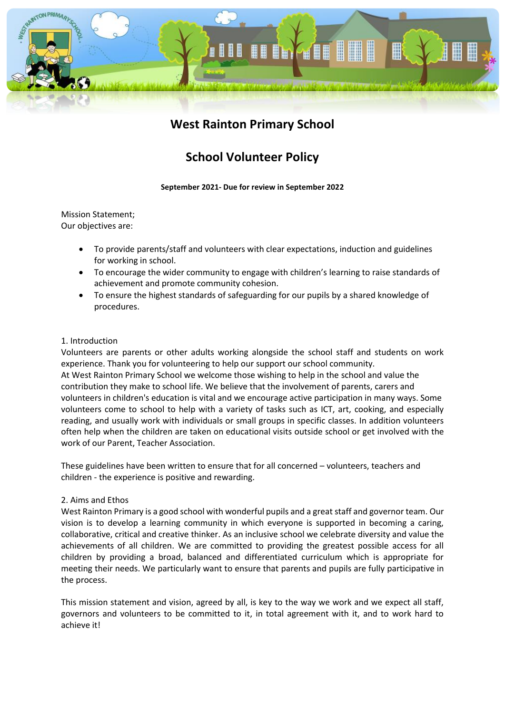

## **West Rainton Primary School**

# **School Volunteer Policy**

**September 2021- Due for review in September 2022**

Mission Statement; Our objectives are:

- To provide parents/staff and volunteers with clear expectations, induction and guidelines for working in school.
- To encourage the wider community to engage with children's learning to raise standards of achievement and promote community cohesion.
- To ensure the highest standards of safeguarding for our pupils by a shared knowledge of procedures.

## 1. Introduction

Volunteers are parents or other adults working alongside the school staff and students on work experience. Thank you for volunteering to help our support our school community. At West Rainton Primary School we welcome those wishing to help in the school and value the contribution they make to school life. We believe that the involvement of parents, carers and volunteers in children's education is vital and we encourage active participation in many ways. Some volunteers come to school to help with a variety of tasks such as ICT, art, cooking, and especially reading, and usually work with individuals or small groups in specific classes. In addition volunteers often help when the children are taken on educational visits outside school or get involved with the work of our Parent, Teacher Association.

These guidelines have been written to ensure that for all concerned – volunteers, teachers and children - the experience is positive and rewarding.

## 2. Aims and Ethos

West Rainton Primary is a good school with wonderful pupils and a great staff and governor team. Our vision is to develop a learning community in which everyone is supported in becoming a caring, collaborative, critical and creative thinker. As an inclusive school we celebrate diversity and value the achievements of all children. We are committed to providing the greatest possible access for all children by providing a broad, balanced and differentiated curriculum which is appropriate for meeting their needs. We particularly want to ensure that parents and pupils are fully participative in the process.

This mission statement and vision, agreed by all, is key to the way we work and we expect all staff, governors and volunteers to be committed to it, in total agreement with it, and to work hard to achieve it!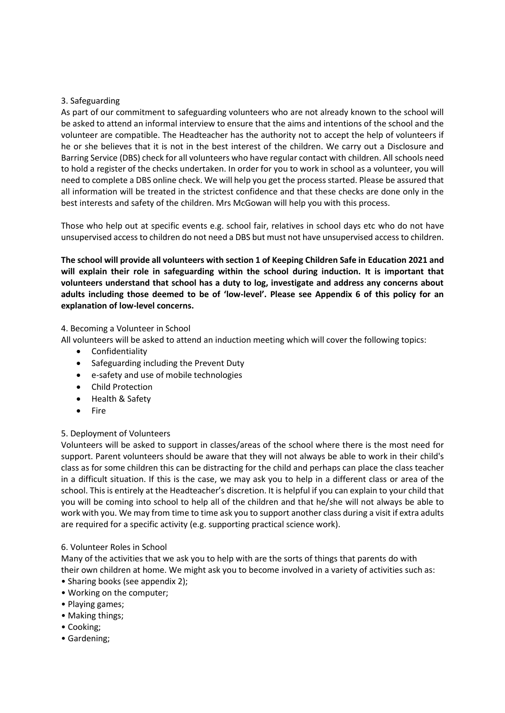## 3. Safeguarding

As part of our commitment to safeguarding volunteers who are not already known to the school will be asked to attend an informal interview to ensure that the aims and intentions of the school and the volunteer are compatible. The Headteacher has the authority not to accept the help of volunteers if he or she believes that it is not in the best interest of the children. We carry out a Disclosure and Barring Service (DBS) check for all volunteers who have regular contact with children. All schools need to hold a register of the checks undertaken. In order for you to work in school as a volunteer, you will need to complete a DBS online check. We will help you get the process started. Please be assured that all information will be treated in the strictest confidence and that these checks are done only in the best interests and safety of the children. Mrs McGowan will help you with this process.

Those who help out at specific events e.g. school fair, relatives in school days etc who do not have unsupervised access to children do not need a DBS but must not have unsupervised access to children.

**The school will provide all volunteers with section 1 of Keeping Children Safe in Education 2021 and will explain their role in safeguarding within the school during induction. It is important that volunteers understand that school has a duty to log, investigate and address any concerns about adults including those deemed to be of 'low-level'. Please see Appendix 6 of this policy for an explanation of low-level concerns.** 

## 4. Becoming a Volunteer in School

All volunteers will be asked to attend an induction meeting which will cover the following topics:

- Confidentiality
- Safeguarding including the Prevent Duty
- e-safety and use of mobile technologies
- Child Protection
- Health & Safety
- Fire

## 5. Deployment of Volunteers

Volunteers will be asked to support in classes/areas of the school where there is the most need for support. Parent volunteers should be aware that they will not always be able to work in their child's class as for some children this can be distracting for the child and perhaps can place the class teacher in a difficult situation. If this is the case, we may ask you to help in a different class or area of the school. This is entirely at the Headteacher's discretion. It is helpful if you can explain to your child that you will be coming into school to help all of the children and that he/she will not always be able to work with you. We may from time to time ask you to support another class during a visit if extra adults are required for a specific activity (e.g. supporting practical science work).

#### 6. Volunteer Roles in School

Many of the activities that we ask you to help with are the sorts of things that parents do with their own children at home. We might ask you to become involved in a variety of activities such as:

- Sharing books (see appendix 2);
- Working on the computer;
- Playing games;
- Making things;
- Cooking;
- Gardening;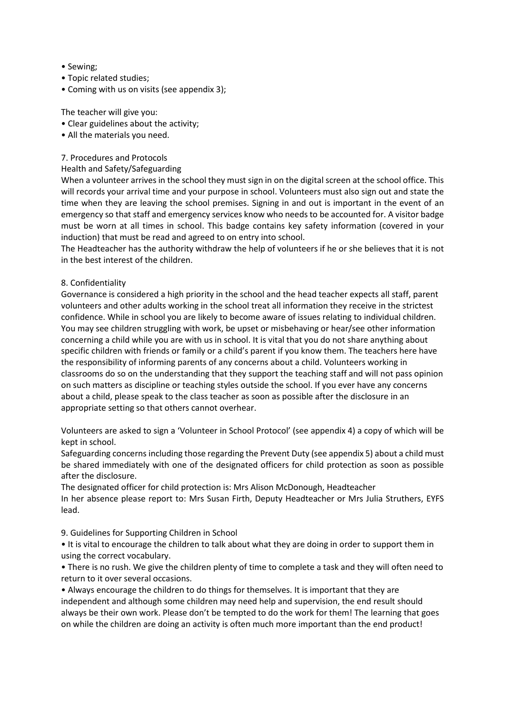- Sewing;
- Topic related studies;
- Coming with us on visits (see appendix 3);

The teacher will give you:

- Clear guidelines about the activity;
- All the materials you need.

### 7. Procedures and Protocols

#### Health and Safety/Safeguarding

When a volunteer arrives in the school they must sign in on the digital screen at the school office. This will records your arrival time and your purpose in school. Volunteers must also sign out and state the time when they are leaving the school premises. Signing in and out is important in the event of an emergency so that staff and emergency services know who needs to be accounted for. A visitor badge must be worn at all times in school. This badge contains key safety information (covered in your induction) that must be read and agreed to on entry into school.

The Headteacher has the authority withdraw the help of volunteers if he or she believes that it is not in the best interest of the children.

## 8. Confidentiality

Governance is considered a high priority in the school and the head teacher expects all staff, parent volunteers and other adults working in the school treat all information they receive in the strictest confidence. While in school you are likely to become aware of issues relating to individual children. You may see children struggling with work, be upset or misbehaving or hear/see other information concerning a child while you are with us in school. It is vital that you do not share anything about specific children with friends or family or a child's parent if you know them. The teachers here have the responsibility of informing parents of any concerns about a child. Volunteers working in classrooms do so on the understanding that they support the teaching staff and will not pass opinion on such matters as discipline or teaching styles outside the school. If you ever have any concerns about a child, please speak to the class teacher as soon as possible after the disclosure in an appropriate setting so that others cannot overhear.

Volunteers are asked to sign a 'Volunteer in School Protocol' (see appendix 4) a copy of which will be kept in school.

Safeguarding concerns including those regarding the Prevent Duty (see appendix 5) about a child must be shared immediately with one of the designated officers for child protection as soon as possible after the disclosure.

The designated officer for child protection is: Mrs Alison McDonough, Headteacher In her absence please report to: Mrs Susan Firth, Deputy Headteacher or Mrs Julia Struthers, EYFS lead.

9. Guidelines for Supporting Children in School

• It is vital to encourage the children to talk about what they are doing in order to support them in using the correct vocabulary.

• There is no rush. We give the children plenty of time to complete a task and they will often need to return to it over several occasions.

• Always encourage the children to do things for themselves. It is important that they are independent and although some children may need help and supervision, the end result should always be their own work. Please don't be tempted to do the work for them! The learning that goes on while the children are doing an activity is often much more important than the end product!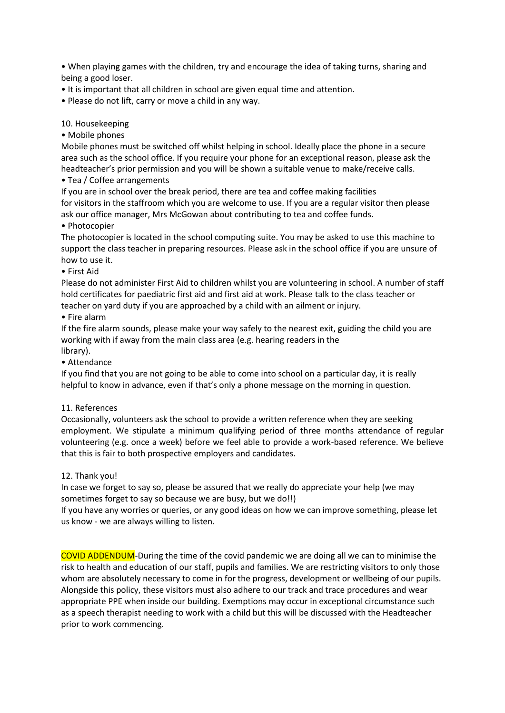• When playing games with the children, try and encourage the idea of taking turns, sharing and being a good loser.

- It is important that all children in school are given equal time and attention.
- Please do not lift, carry or move a child in any way.

#### 10. Housekeeping

• Mobile phones

Mobile phones must be switched off whilst helping in school. Ideally place the phone in a secure area such as the school office. If you require your phone for an exceptional reason, please ask the headteacher's prior permission and you will be shown a suitable venue to make/receive calls.

#### • Tea / Coffee arrangements

If you are in school over the break period, there are tea and coffee making facilities for visitors in the staffroom which you are welcome to use. If you are a regular visitor then please ask our office manager, Mrs McGowan about contributing to tea and coffee funds.

#### • Photocopier

The photocopier is located in the school computing suite. You may be asked to use this machine to support the class teacher in preparing resources. Please ask in the school office if you are unsure of how to use it.

#### • First Aid

Please do not administer First Aid to children whilst you are volunteering in school. A number of staff hold certificates for paediatric first aid and first aid at work. Please talk to the class teacher or teacher on yard duty if you are approached by a child with an ailment or injury.

#### • Fire alarm

If the fire alarm sounds, please make your way safely to the nearest exit, guiding the child you are working with if away from the main class area (e.g. hearing readers in the library).

• Attendance

If you find that you are not going to be able to come into school on a particular day, it is really helpful to know in advance, even if that's only a phone message on the morning in question.

#### 11. References

Occasionally, volunteers ask the school to provide a written reference when they are seeking employment. We stipulate a minimum qualifying period of three months attendance of regular volunteering (e.g. once a week) before we feel able to provide a work-based reference. We believe that this is fair to both prospective employers and candidates.

#### 12. Thank you!

In case we forget to say so, please be assured that we really do appreciate your help (we may sometimes forget to say so because we are busy, but we do!!)

If you have any worries or queries, or any good ideas on how we can improve something, please let us know - we are always willing to listen.

COVID ADDENDUM-During the time of the covid pandemic we are doing all we can to minimise the risk to health and education of our staff, pupils and families. We are restricting visitors to only those whom are absolutely necessary to come in for the progress, development or wellbeing of our pupils. Alongside this policy, these visitors must also adhere to our track and trace procedures and wear appropriate PPE when inside our building. Exemptions may occur in exceptional circumstance such as a speech therapist needing to work with a child but this will be discussed with the Headteacher prior to work commencing.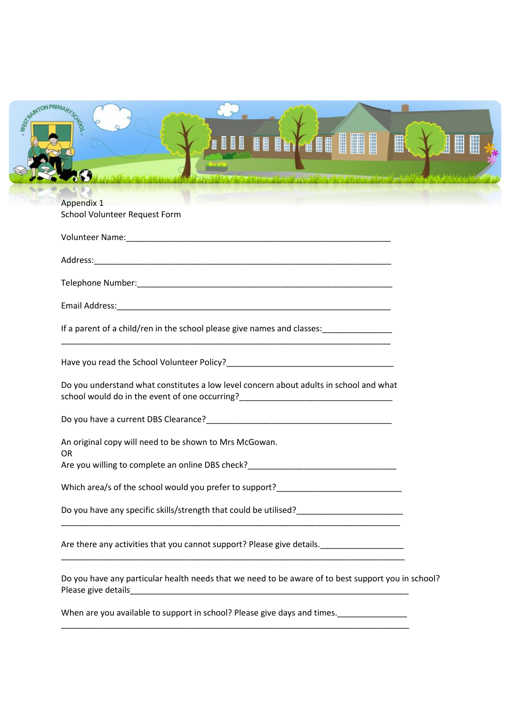|                   | <b>III III ÎM GEEE</b><br>F<br>IE                                                                                                                                                                                            |
|-------------------|------------------------------------------------------------------------------------------------------------------------------------------------------------------------------------------------------------------------------|
|                   | しゃりつ ミクラス メンジャー けんえいしゃ<br><b>AND CONTRACT AND ARRAIGNMENT</b>                                                                                                                                                                |
|                   |                                                                                                                                                                                                                              |
| <b>Appendix 1</b> | School Volunteer Request Form                                                                                                                                                                                                |
|                   |                                                                                                                                                                                                                              |
|                   |                                                                                                                                                                                                                              |
|                   |                                                                                                                                                                                                                              |
|                   |                                                                                                                                                                                                                              |
|                   |                                                                                                                                                                                                                              |
|                   |                                                                                                                                                                                                                              |
|                   | If a parent of a child/ren in the school please give names and classes: _______________                                                                                                                                      |
|                   | Have you read the School Volunteer Policy? Notice that the state of the state of the state of the state of the                                                                                                               |
|                   |                                                                                                                                                                                                                              |
|                   | Do you understand what constitutes a low level concern about adults in school and what                                                                                                                                       |
|                   |                                                                                                                                                                                                                              |
| <b>OR</b>         | An original copy will need to be shown to Mrs McGowan.                                                                                                                                                                       |
|                   | Are you willing to complete an online DBS check?                                                                                                                                                                             |
|                   | Which area/s of the school would you prefer to support?                                                                                                                                                                      |
|                   |                                                                                                                                                                                                                              |
|                   | <u> 2000 - Jan James James Barnett, amerikan basar dan berasal dari pertama dan berasal dari pertama dan berasal</u><br>Are there any activities that you cannot support? Please give details. _____________________________ |
|                   | Do you have any particular health needs that we need to be aware of to best support you in school?                                                                                                                           |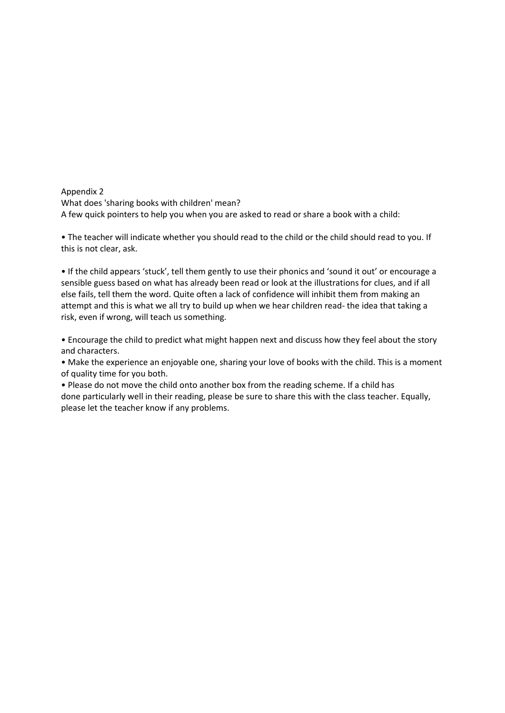Appendix 2 What does 'sharing books with children' mean? A few quick pointers to help you when you are asked to read or share a book with a child:

• The teacher will indicate whether you should read to the child or the child should read to you. If this is not clear, ask.

• If the child appears 'stuck', tell them gently to use their phonics and 'sound it out' or encourage a sensible guess based on what has already been read or look at the illustrations for clues, and if all else fails, tell them the word. Quite often a lack of confidence will inhibit them from making an attempt and this is what we all try to build up when we hear children read- the idea that taking a risk, even if wrong, will teach us something.

• Encourage the child to predict what might happen next and discuss how they feel about the story and characters.

• Make the experience an enjoyable one, sharing your love of books with the child. This is a moment of quality time for you both.

• Please do not move the child onto another box from the reading scheme. If a child has done particularly well in their reading, please be sure to share this with the class teacher. Equally, please let the teacher know if any problems.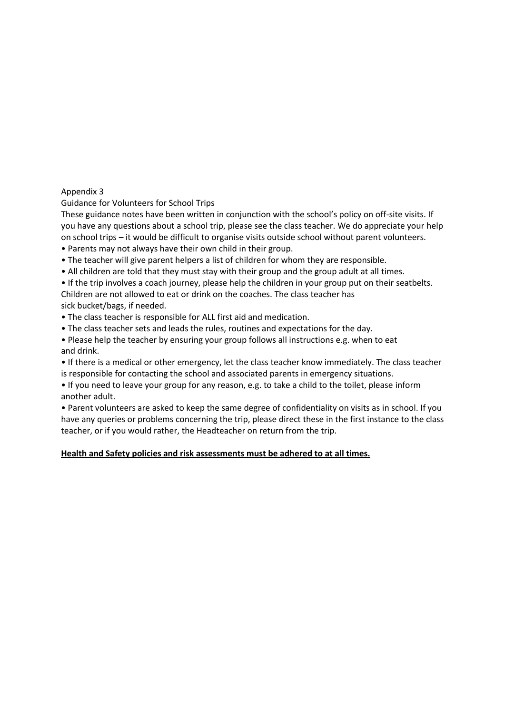## Appendix 3

Guidance for Volunteers for School Trips

These guidance notes have been written in conjunction with the school's policy on off-site visits. If you have any questions about a school trip, please see the class teacher. We do appreciate your help on school trips – it would be difficult to organise visits outside school without parent volunteers.

- Parents may not always have their own child in their group.
- The teacher will give parent helpers a list of children for whom they are responsible.
- All children are told that they must stay with their group and the group adult at all times.
- If the trip involves a coach journey, please help the children in your group put on their seatbelts.
- Children are not allowed to eat or drink on the coaches. The class teacher has

sick bucket/bags, if needed.

- The class teacher is responsible for ALL first aid and medication.
- The class teacher sets and leads the rules, routines and expectations for the day.
- Please help the teacher by ensuring your group follows all instructions e.g. when to eat and drink.
- If there is a medical or other emergency, let the class teacher know immediately. The class teacher is responsible for contacting the school and associated parents in emergency situations.
- If you need to leave your group for any reason, e.g. to take a child to the toilet, please inform another adult.

• Parent volunteers are asked to keep the same degree of confidentiality on visits as in school. If you have any queries or problems concerning the trip, please direct these in the first instance to the class teacher, or if you would rather, the Headteacher on return from the trip.

## **Health and Safety policies and risk assessments must be adhered to at all times.**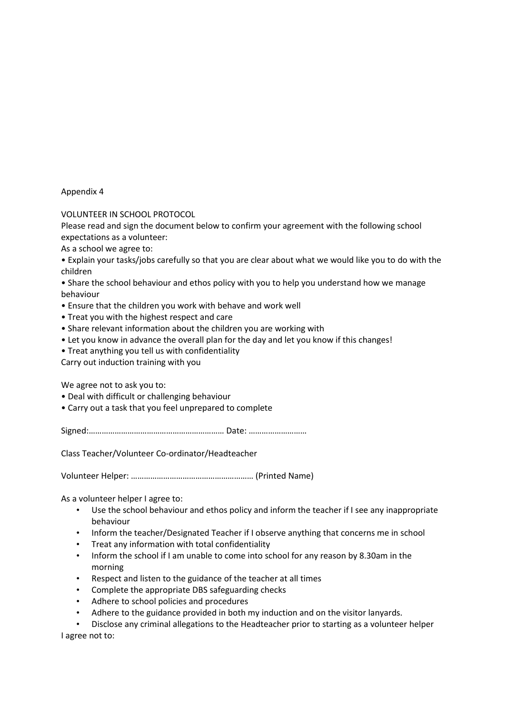#### Appendix 4

VOLUNTEER IN SCHOOL PROTOCOL

Please read and sign the document below to confirm your agreement with the following school expectations as a volunteer:

As a school we agree to:

- Explain your tasks/jobs carefully so that you are clear about what we would like you to do with the children
- Share the school behaviour and ethos policy with you to help you understand how we manage behaviour
- Ensure that the children you work with behave and work well
- Treat you with the highest respect and care
- Share relevant information about the children you are working with
- Let you know in advance the overall plan for the day and let you know if this changes!
- Treat anything you tell us with confidentiality

Carry out induction training with you

We agree not to ask you to:

- Deal with difficult or challenging behaviour
- Carry out a task that you feel unprepared to complete

Signed:……………………………………………………… Date: ………………………

Class Teacher/Volunteer Co-ordinator/Headteacher

Volunteer Helper: ………………………………………………… (Printed Name)

As a volunteer helper I agree to:

- Use the school behaviour and ethos policy and inform the teacher if I see any inappropriate behaviour
- Inform the teacher/Designated Teacher if I observe anything that concerns me in school
- Treat any information with total confidentiality
- Inform the school if I am unable to come into school for any reason by 8.30am in the morning
- Respect and listen to the guidance of the teacher at all times
- Complete the appropriate DBS safeguarding checks
- Adhere to school policies and procedures
- Adhere to the guidance provided in both my induction and on the visitor lanyards.

• Disclose any criminal allegations to the Headteacher prior to starting as a volunteer helper I agree not to: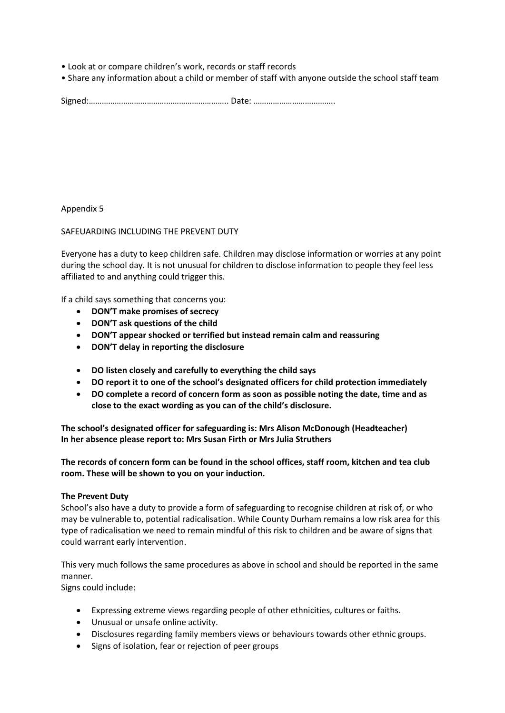- Look at or compare children's work, records or staff records
- Share any information about a child or member of staff with anyone outside the school staff team

Signed:……………………………………………………….. Date: ………………………………..

Appendix 5

SAFEUARDING INCLUDING THE PREVENT DUTY

Everyone has a duty to keep children safe. Children may disclose information or worries at any point during the school day. It is not unusual for children to disclose information to people they feel less affiliated to and anything could trigger this.

If a child says something that concerns you:

- **DON'T make promises of secrecy**
- **DON'T ask questions of the child**
- **DON'T appear shocked or terrified but instead remain calm and reassuring**
- **DON'T delay in reporting the disclosure**
- **DO listen closely and carefully to everything the child says**
- **DO report it to one of the school's designated officers for child protection immediately**
- **DO complete a record of concern form as soon as possible noting the date, time and as close to the exact wording as you can of the child's disclosure.**

**The school's designated officer for safeguarding is: Mrs Alison McDonough (Headteacher) In her absence please report to: Mrs Susan Firth or Mrs Julia Struthers**

**The records of concern form can be found in the school offices, staff room, kitchen and tea club room. These will be shown to you on your induction.** 

#### **The Prevent Duty**

School's also have a duty to provide a form of safeguarding to recognise children at risk of, or who may be vulnerable to, potential radicalisation. While County Durham remains a low risk area for this type of radicalisation we need to remain mindful of this risk to children and be aware of signs that could warrant early intervention.

This very much follows the same procedures as above in school and should be reported in the same manner.

Signs could include:

- Expressing extreme views regarding people of other ethnicities, cultures or faiths.
- Unusual or unsafe online activity.
- Disclosures regarding family members views or behaviours towards other ethnic groups.
- Signs of isolation, fear or rejection of peer groups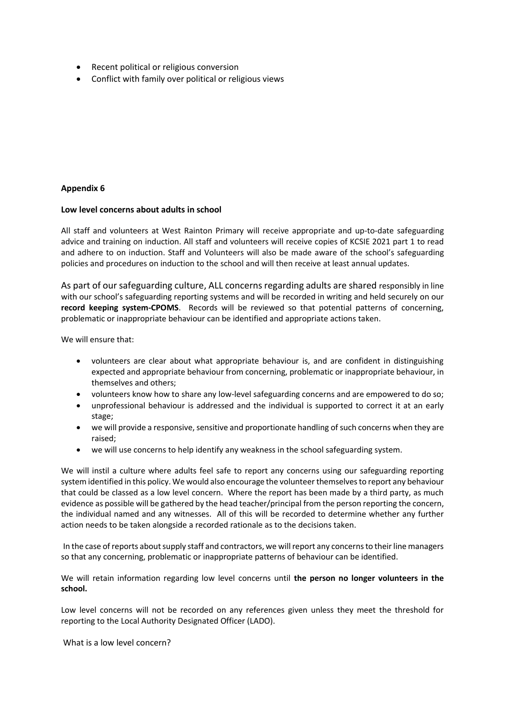- Recent political or religious conversion
- Conflict with family over political or religious views

## **Appendix 6**

#### **Low level concerns about adults in school**

All staff and volunteers at West Rainton Primary will receive appropriate and up-to-date safeguarding advice and training on induction. All staff and volunteers will receive copies of KCSIE 2021 part 1 to read and adhere to on induction. Staff and Volunteers will also be made aware of the school's safeguarding policies and procedures on induction to the school and will then receive at least annual updates.

As part of our safeguarding culture, ALL concerns regarding adults are shared responsibly in line with our school's safeguarding reporting systems and will be recorded in writing and held securely on our **record keeping system-CPOMS**. Records will be reviewed so that potential patterns of concerning, problematic or inappropriate behaviour can be identified and appropriate actions taken.

We will ensure that:

- volunteers are clear about what appropriate behaviour is, and are confident in distinguishing expected and appropriate behaviour from concerning, problematic or inappropriate behaviour, in themselves and others;
- volunteers know how to share any low-level safeguarding concerns and are empowered to do so;
- unprofessional behaviour is addressed and the individual is supported to correct it at an early stage;
- we will provide a responsive, sensitive and proportionate handling of such concerns when they are raised;
- we will use concerns to help identify any weakness in the school safeguarding system.

We will instil a culture where adults feel safe to report any concerns using our safeguarding reporting system identified in this policy. We would also encourage the volunteer themselves to report any behaviour that could be classed as a low level concern. Where the report has been made by a third party, as much evidence as possible will be gathered by the head teacher/principal from the person reporting the concern, the individual named and any witnesses. All of this will be recorded to determine whether any further action needs to be taken alongside a recorded rationale as to the decisions taken.

In the case of reports about supply staff and contractors, we will report any concerns to their line managers so that any concerning, problematic or inappropriate patterns of behaviour can be identified.

We will retain information regarding low level concerns until **the person no longer volunteers in the school.** 

Low level concerns will not be recorded on any references given unless they meet the threshold for reporting to the Local Authority Designated Officer (LADO).

What is a low level concern?